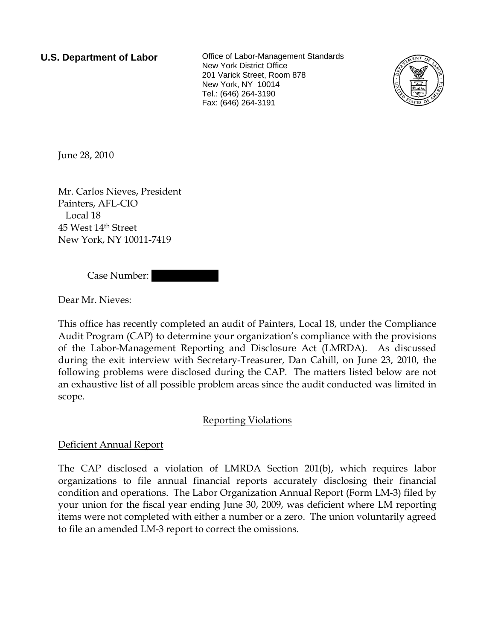**U.S. Department of Labor Collect** Office of Labor-Management Standards New York District Office 201 Varick Street, Room 878 New York, NY 10014 Tel.: (646) 264-3190 Fax: (646) 264-3191



June 28, 2010

Mr. Carlos Nieves, President Painters, AFL-CIO Local 18 45 West 14th Street New York, NY 10011-7419

Case Number:

Dear Mr. Nieves:

This office has recently completed an audit of Painters, Local 18, under the Compliance Audit Program (CAP) to determine your organization's compliance with the provisions of the Labor-Management Reporting and Disclosure Act (LMRDA). As discussed during the exit interview with Secretary-Treasurer, Dan Cahill, on June 23, 2010, the following problems were disclosed during the CAP. The matters listed below are not an exhaustive list of all possible problem areas since the audit conducted was limited in scope.

# Reporting Violations

# Deficient Annual Report

The CAP disclosed a violation of LMRDA Section 201(b), which requires labor organizations to file annual financial reports accurately disclosing their financial condition and operations. The Labor Organization Annual Report (Form LM-3) filed by your union for the fiscal year ending June 30, 2009, was deficient where LM reporting items were not completed with either a number or a zero. The union voluntarily agreed to file an amended LM-3 report to correct the omissions.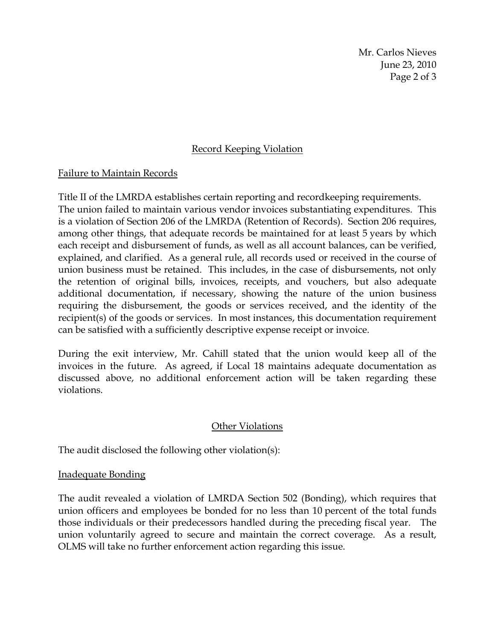Mr. Carlos Nieves June 23, 2010 Page 2 of 3

## Record Keeping Violation

### Failure to Maintain Records

Title II of the LMRDA establishes certain reporting and recordkeeping requirements. The union failed to maintain various vendor invoices substantiating expenditures. This is a violation of Section 206 of the LMRDA (Retention of Records). Section 206 requires, among other things, that adequate records be maintained for at least 5 years by which each receipt and disbursement of funds, as well as all account balances, can be verified, explained, and clarified. As a general rule, all records used or received in the course of union business must be retained. This includes, in the case of disbursements, not only the retention of original bills, invoices, receipts, and vouchers, but also adequate additional documentation, if necessary, showing the nature of the union business requiring the disbursement, the goods or services received, and the identity of the recipient(s) of the goods or services. In most instances, this documentation requirement can be satisfied with a sufficiently descriptive expense receipt or invoice.

During the exit interview, Mr. Cahill stated that the union would keep all of the invoices in the future. As agreed, if Local 18 maintains adequate documentation as discussed above, no additional enforcement action will be taken regarding these violations.

### **Other Violations**

The audit disclosed the following other violation(s):

### Inadequate Bonding

The audit revealed a violation of LMRDA Section 502 (Bonding), which requires that union officers and employees be bonded for no less than 10 percent of the total funds those individuals or their predecessors handled during the preceding fiscal year. The union voluntarily agreed to secure and maintain the correct coverage. As a result, OLMS will take no further enforcement action regarding this issue.